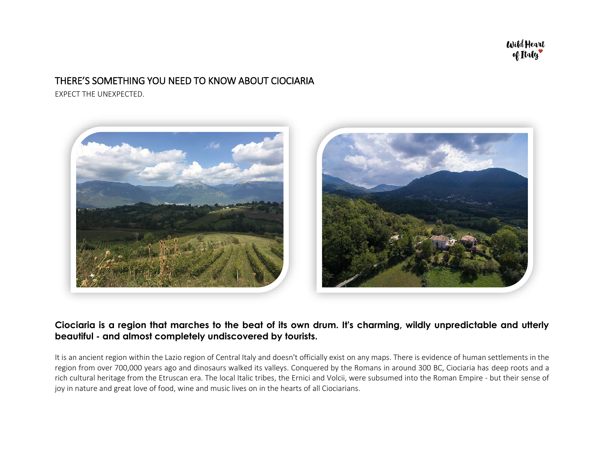```
Wild Heart
of Italy
```
# THERE'S SOMETHING YOU NEED TO KNOW ABOUT CIOCIARIA

EXPECT THE UNEXPECTED.



## **Ciociaria is a region that marches to the beat of its own drum. It's charming, wildly unpredictable and utterly beautiful - and almost completely undiscovered by tourists.**

It is an ancient region within the Lazio region of Central Italy and doesn't officially exist on any maps. There is evidence of human settlements in the region from over 700,000 years ago and dinosaurs walked its valleys. Conquered by the Romans in around 300 BC, Ciociaria has deep roots and a rich cultural heritage from the Etruscan era. The local Italic tribes, the Ernici and Volcii, were subsumed into the Roman Empire - but their sense of joy in nature and great love of food, wine and music lives on in the hearts of all Ciociarians.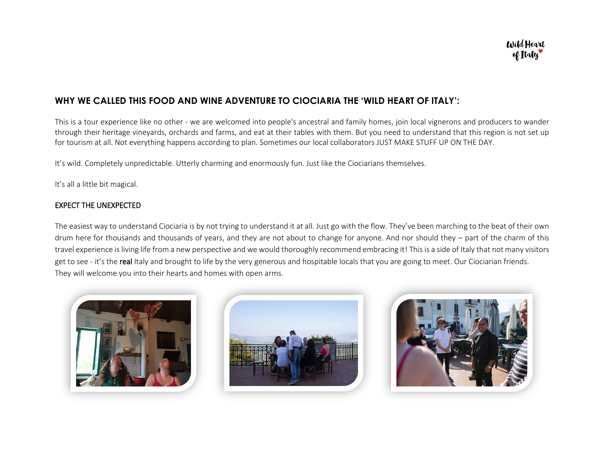

## **WHY WE CALLED THIS FOOD AND WINE ADVENTURE TO CIOCIARIA THE 'WILD HEART OF ITALY':**

This is a tour experience like no other - we are welcomed into people's ancestral and family homes, join local vignerons and producers to wander through their heritage vineyards, orchards and farms, and eat at their tables with them. But you need to understand that this region is not set up for tourism at all. Not everything happens according to plan. Sometimes our local collaborators JUST MAKE STUFF UP ON THE DAY.

It's wild. Completely unpredictable. Utterly charming and enormously fun. Just like the Ciociarians themselves.

It's all a little bit magical.

#### EXPECT THE UNEXPECTED

The easiest way to understand Ciociaria is by not trying to understand it at all. Just go with the flow. They've been marching to the beat of their own drum here for thousands and thousands of years, and they are not about to change for anyone. And nor should they – part of the charm of this travel experience is living life from a new perspective and we would thoroughly recommend embracing it! This is a side of Italy that not many visitors get to see - it's the real Italy and brought to life by the very generous and hospitable locals that you are going to meet. Our Ciociarian friends. They will welcome you into their hearts and homes with open arms.





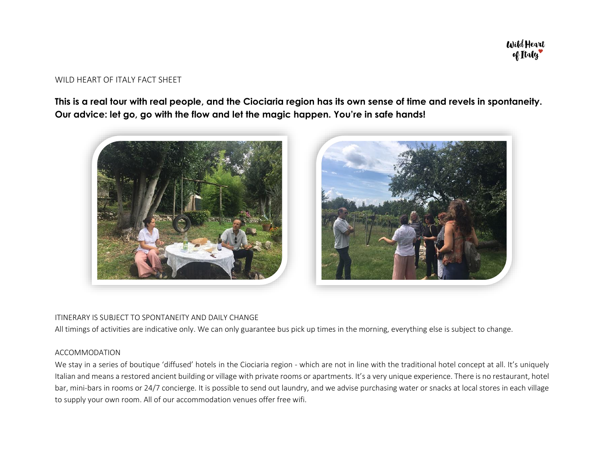### WILD HEART OF ITALY FACT SHEET

**This is a real tour with real people, and the Ciociaria region has its own sense of time and revels in spontaneity. Our advice: let go, go with the flow and let the magic happen. You're in safe hands!** 



#### ITINERARY IS SUBJECT TO SPONTANEITY AND DAILY CHANGE

All timings of activities are indicative only. We can only guarantee bus pick up times in the morning, everything else is subject to change.

### ACCOMMODATION

We stay in a series of boutique 'diffused' hotels in the Ciociaria region - which are not in line with the traditional hotel concept at all. It's uniquely Italian and means a restored ancient building or village with private rooms or apartments. It's a very unique experience. There is no restaurant, hotel bar, mini-bars in rooms or 24/7 concierge. It is possible to send out laundry, and we advise purchasing water or snacks at local stores in each village to supply your own room. All of our accommodation venues offer free wifi.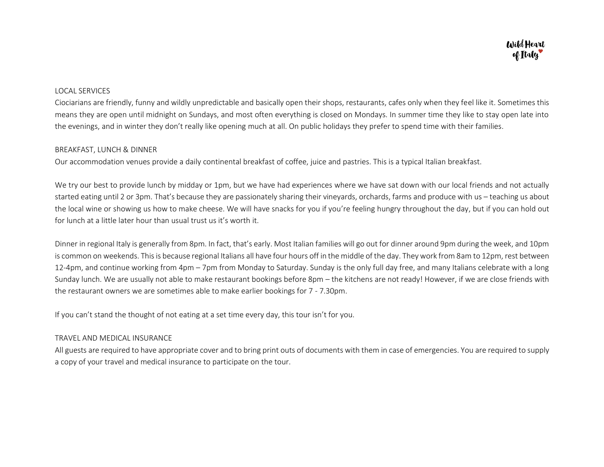#### LOCAL SERVICES

Ciociarians are friendly, funny and wildly unpredictable and basically open their shops, restaurants, cafes only when they feel like it. Sometimes this means they are open until midnight on Sundays, and most often everything is closed on Mondays. In summer time they like to stay open late into the evenings, and in winter they don't really like opening much at all. On public holidays they prefer to spend time with their families.

#### BREAKFAST, LUNCH & DINNER

Our accommodation venues provide a daily continental breakfast of coffee, juice and pastries. This is a typical Italian breakfast.

We try our best to provide lunch by midday or 1pm, but we have had experiences where we have sat down with our local friends and not actually started eating until 2 or 3pm. That's because they are passionately sharing their vineyards, orchards, farms and produce with us – teaching us about the local wine or showing us how to make cheese. We will have snacks for you if you're feeling hungry throughout the day, but if you can hold out for lunch at a little later hour than usual trust us it's worth it.

Dinner in regional Italy is generally from 8pm. In fact, that's early. Most Italian families will go out for dinner around 9pm during the week, and 10pm is common on weekends. This is because regional Italians all have four hours off in the middle of the day. They work from 8am to 12pm, rest between 12-4pm, and continue working from 4pm – 7pm from Monday to Saturday. Sunday is the only full day free, and many Italians celebrate with a long Sunday lunch. We are usually not able to make restaurant bookings before 8pm – the kitchens are not ready! However, if we are close friends with the restaurant owners we are sometimes able to make earlier bookings for 7 - 7.30pm.

If you can't stand the thought of not eating at a set time every day, this tour isn't for you.

#### TRAVEL AND MEDICAL INSURANCE

All guests are required to have appropriate cover and to bring print outs of documents with them in case of emergencies. You are required to supply a copy of your travel and medical insurance to participate on the tour.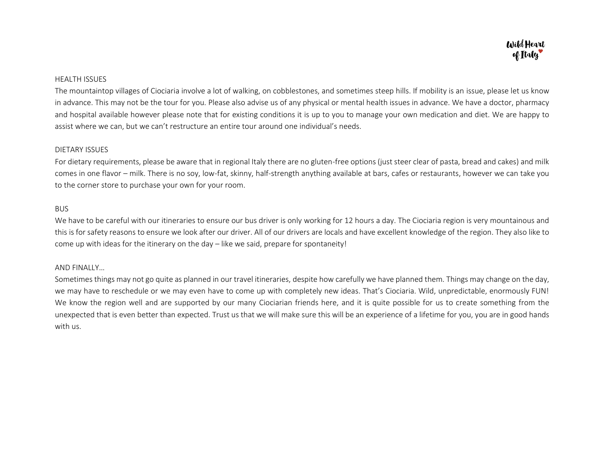#### HEALTH ISSUES

The mountaintop villages of Ciociaria involve a lot of walking, on cobblestones, and sometimes steep hills. If mobility is an issue, please let us know in advance. This may not be the tour for you. Please also advise us of any physical or mental health issues in advance. We have a doctor, pharmacy and hospital available however please note that for existing conditions it is up to you to manage your own medication and diet. We are happy to assist where we can, but we can't restructure an entire tour around one individual's needs.

#### DIETARY ISSUES

For dietary requirements, please be aware that in regional Italy there are no gluten-free options (just steer clear of pasta, bread and cakes) and milk comes in one flavor – milk. There is no soy, low-fat, skinny, half-strength anything available at bars, cafes or restaurants, however we can take you to the corner store to purchase your own for your room.

#### BUS

We have to be careful with our itineraries to ensure our bus driver is only working for 12 hours a day. The Ciociaria region is very mountainous and this is for safety reasons to ensure we look after our driver. All of our drivers are locals and have excellent knowledge of the region. They also like to come up with ideas for the itinerary on the day – like we said, prepare for spontaneity!

#### AND FINALLY…

Sometimes things may not go quite as planned in our travel itineraries, despite how carefully we have planned them. Things may change on the day, we may have to reschedule or we may even have to come up with completely new ideas. That's Ciociaria. Wild, unpredictable, enormously FUN! We know the region well and are supported by our many Ciociarian friends here, and it is quite possible for us to create something from the unexpected that is even better than expected. Trust us that we will make sure this will be an experience of a lifetime for you, you are in good hands with us.